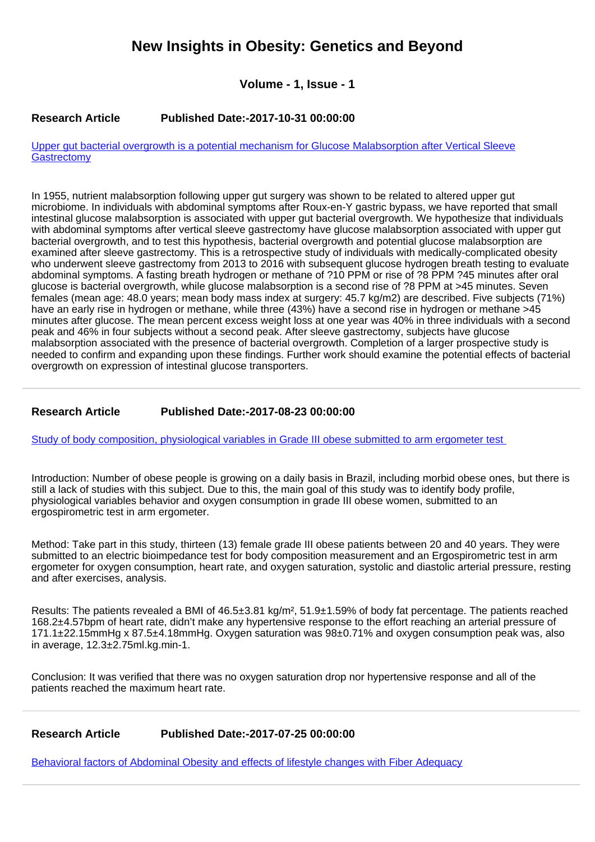# **New Insights in Obesity: Genetics and Beyond**

**Volume - 1, Issue - 1**

### **Research Article Published Date:-2017-10-31 00:00:00**

[Upper gut bacterial overgrowth is a potential mechanism for Glucose Malabsorption after Vertical Sleeve](https://www.obesitygenejournal.com/articles/niogb-aid1006.pdf) **[Gastrectomy](https://www.obesitygenejournal.com/articles/niogb-aid1006.pdf)** 

In 1955, nutrient malabsorption following upper gut surgery was shown to be related to altered upper gut microbiome. In individuals with abdominal symptoms after Roux-en-Y gastric bypass, we have reported that small intestinal glucose malabsorption is associated with upper gut bacterial overgrowth. We hypothesize that individuals with abdominal symptoms after vertical sleeve gastrectomy have glucose malabsorption associated with upper gut bacterial overgrowth, and to test this hypothesis, bacterial overgrowth and potential glucose malabsorption are examined after sleeve gastrectomy. This is a retrospective study of individuals with medically-complicated obesity who underwent sleeve gastrectomy from 2013 to 2016 with subsequent glucose hydrogen breath testing to evaluate abdominal symptoms. A fasting breath hydrogen or methane of ?10 PPM or rise of ?8 PPM ?45 minutes after oral glucose is bacterial overgrowth, while glucose malabsorption is a second rise of ?8 PPM at >45 minutes. Seven females (mean age: 48.0 years; mean body mass index at surgery: 45.7 kg/m2) are described. Five subjects (71%) have an early rise in hydrogen or methane, while three (43%) have a second rise in hydrogen or methane >45 minutes after glucose. The mean percent excess weight loss at one year was 40% in three individuals with a second peak and 46% in four subjects without a second peak. After sleeve gastrectomy, subjects have glucose malabsorption associated with the presence of bacterial overgrowth. Completion of a larger prospective study is needed to confirm and expanding upon these findings. Further work should examine the potential effects of bacterial overgrowth on expression of intestinal glucose transporters.

## **Research Article Published Date:-2017-08-23 00:00:00**

[Study of body composition, physiological variables in Grade III obese submitted to arm ergometer test](https://www.obesitygenejournal.com/articles/niogb-aid1005.pdf) 

Introduction: Number of obese people is growing on a daily basis in Brazil, including morbid obese ones, but there is still a lack of studies with this subject. Due to this, the main goal of this study was to identify body profile, physiological variables behavior and oxygen consumption in grade III obese women, submitted to an ergospirometric test in arm ergometer.

Method: Take part in this study, thirteen (13) female grade III obese patients between 20 and 40 years. They were submitted to an electric bioimpedance test for body composition measurement and an Ergospirometric test in arm ergometer for oxygen consumption, heart rate, and oxygen saturation, systolic and diastolic arterial pressure, resting and after exercises, analysis.

Results: The patients revealed a BMI of 46.5±3.81 kg/m², 51.9±1.59% of body fat percentage. The patients reached 168.2±4.57bpm of heart rate, didn't make any hypertensive response to the effort reaching an arterial pressure of 171.1±22.15mmHg x 87.5±4.18mmHg. Oxygen saturation was 98±0.71% and oxygen consumption peak was, also in average, 12.3±2.75ml.kg.min-1.

Conclusion: It was verified that there was no oxygen saturation drop nor hypertensive response and all of the patients reached the maximum heart rate.

### **Research Article Published Date:-2017-07-25 00:00:00**

[Behavioral factors of Abdominal Obesity and effects of lifestyle changes with Fiber Adequacy](https://www.obesitygenejournal.com/articles/niogb-aid1004.pdf)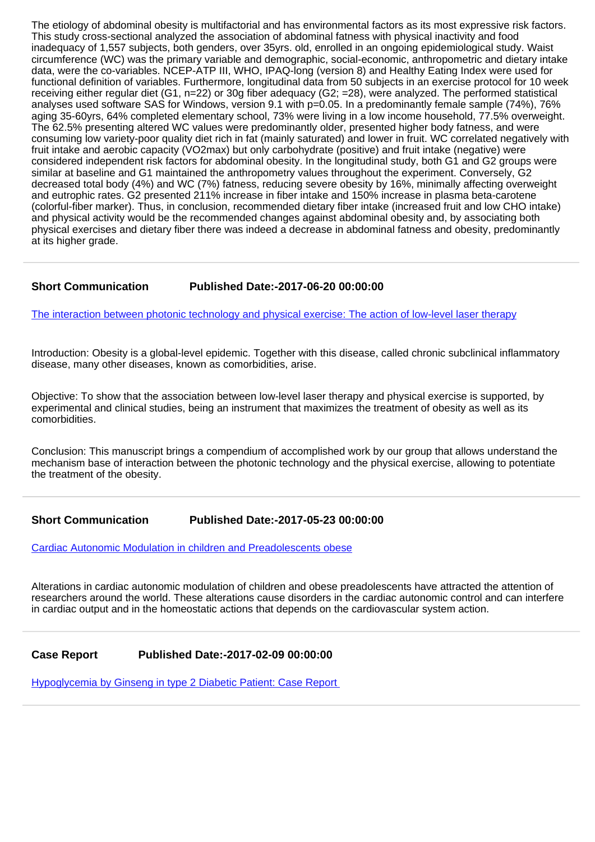The etiology of abdominal obesity is multifactorial and has environmental factors as its most expressive risk factors. This study cross-sectional analyzed the association of abdominal fatness with physical inactivity and food inadequacy of 1,557 subjects, both genders, over 35yrs. old, enrolled in an ongoing epidemiological study. Waist circumference (WC) was the primary variable and demographic, social-economic, anthropometric and dietary intake data, were the co-variables. NCEP-ATP III, WHO, IPAQ-long (version 8) and Healthy Eating Index were used for functional definition of variables. Furthermore, longitudinal data from 50 subjects in an exercise protocol for 10 week receiving either regular diet (G1, n=22) or 30g fiber adequacy (G2; =28), were analyzed. The performed statistical analyses used software SAS for Windows, version 9.1 with p=0.05. In a predominantly female sample (74%), 76% aging 35-60yrs, 64% completed elementary school, 73% were living in a low income household, 77.5% overweight. The 62.5% presenting altered WC values were predominantly older, presented higher body fatness, and were consuming low variety-poor quality diet rich in fat (mainly saturated) and lower in fruit. WC correlated negatively with fruit intake and aerobic capacity (VO2max) but only carbohydrate (positive) and fruit intake (negative) were considered independent risk factors for abdominal obesity. In the longitudinal study, both G1 and G2 groups were similar at baseline and G1 maintained the anthropometry values throughout the experiment. Conversely, G2 decreased total body (4%) and WC (7%) fatness, reducing severe obesity by 16%, minimally affecting overweight and eutrophic rates. G2 presented 211% increase in fiber intake and 150% increase in plasma beta-carotene (colorful-fiber marker). Thus, in conclusion, recommended dietary fiber intake (increased fruit and low CHO intake) and physical activity would be the recommended changes against abdominal obesity and, by associating both physical exercises and dietary fiber there was indeed a decrease in abdominal fatness and obesity, predominantly at its higher grade.

### **Short Communication Published Date:-2017-06-20 00:00:00**

[The interaction between photonic technology and physical exercise: The action of low-level laser therapy](https://www.obesitygenejournal.com/articles/niogb-aid1003.pdf)

Introduction: Obesity is a global-level epidemic. Together with this disease, called chronic subclinical inflammatory disease, many other diseases, known as comorbidities, arise.

Objective: To show that the association between low-level laser therapy and physical exercise is supported, by experimental and clinical studies, being an instrument that maximizes the treatment of obesity as well as its comorbidities.

Conclusion: This manuscript brings a compendium of accomplished work by our group that allows understand the mechanism base of interaction between the photonic technology and the physical exercise, allowing to potentiate the treatment of the obesity.

**Short Communication Published Date:-2017-05-23 00:00:00**

[Cardiac Autonomic Modulation in children and Preadolescents obese](https://www.obesitygenejournal.com/articles/niogb-aid1002.pdf)

Alterations in cardiac autonomic modulation of children and obese preadolescents have attracted the attention of researchers around the world. These alterations cause disorders in the cardiac autonomic control and can interfere in cardiac output and in the homeostatic actions that depends on the cardiovascular system action.

#### **Case Report Published Date:-2017-02-09 00:00:00**

[Hypoglycemia by Ginseng in type 2 Diabetic Patient: Case Report](https://www.obesitygenejournal.com/articles/niogb-aid1001.pdf)